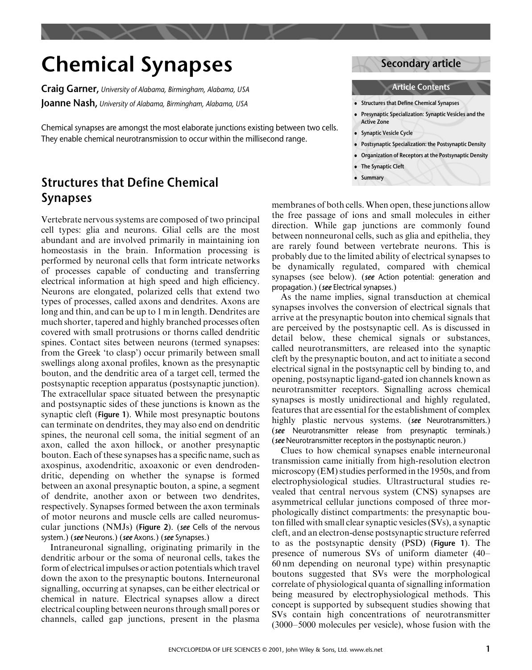# Chemical Synapses

Craig Garner, University of Alabama, Birmingham, Alabama, USA Joanne Nash, University of Alabama, Birmingham, Alabama, USA

Chemical synapses are amongst the most elaborate junctions existing between two cells. They enable chemical neurotransmission to occur within the millisecond range.

# Structures that Define Chemical Synapses

Vertebrate nervous systems are composed of two principal cell types: glia and neurons. Glial cells are the most abundant and are involved primarily in maintaining ion homeostasis in the brain. Information processing is performed by neuronal cells that form intricate networks of processes capable of conducting and transferring electrical information at high speed and high efficiency. Neurons are elongated, polarized cells that extend two types of processes, called axons and dendrites. Axons are long and thin, and can be up to 1 m in length. Dendrites are much shorter, tapered and highly branched processes often covered with small protrusions or thorns called dendritic spines. Contact sites between neurons (termed synapses: from the Greek 'to clasp') occur primarily between small swellings along axonal profiles, known as the presynaptic bouton, and the dendritic area of a target cell, termed the postsynaptic reception apparatus (postsynaptic junction). The extracellular space situated between the presynaptic and postsynaptic sides of these junctions is known as the synaptic cleft (Figure 1). While most presynaptic boutons can terminate on dendrites, they may also end on dendritic spines, the neuronal cell soma, the initial segment of an axon, called the axon hillock, or another presynaptic bouton. Each of these synapses has a specific name, such as axospinus, axodendritic, axoaxonic or even dendrodendritic, depending on whether the synapse is formed between an axonal presynaptic bouton, a spine, a segment of dendrite, another axon or between two dendrites, respectively. Synapses formed between the axon terminals of motor neurons and muscle cells are called neuromuscular junctions (NMJs) (Figure 2). (see Cells of the nervous system.) (see Neurons.) (see Axons.) (see Synapses.)

Intraneuronal signalling, originating primarily in the dendritic arbour or the soma of neuronal cells, takes the form of electrical impulses or action potentials which travel down the axon to the presynaptic boutons. Interneuronal signalling, occurring at synapses, can be either electrical or chemical in nature. Electrical synapses allow a direct electrical coupling between neurons through small pores or channels, called gap junctions, present in the plasma

#### Secondary article

#### Article Contents

- . Structures that Define Chemical Synapses
- . Presynaptic Specialization: Synaptic Vesicles and the Active Zone
- . Synaptic Vesicle Cycle
- . Postsynaptic Specialization: the Postsynaptic Density
- . Organization of Receptors at the Postsynaptic Density
- . The Synaptic Cleft
- . Summary

membranes of both cells.When open, these junctions allow the free passage of ions and small molecules in either direction. While gap junctions are commonly found between nonneuronal cells, such as glia and epithelia, they are rarely found between vertebrate neurons. This is probably due to the limited ability of electrical synapses to be dynamically regulated, compared with chemical synapses (see below). (see Action potential: generation and propagation.) (see Electrical synapses.)

As the name implies, signal transduction at chemical synapses involves the conversion of electrical signals that arrive at the presynaptic bouton into chemical signals that are perceived by the postsynaptic cell. As is discussed in detail below, these chemical signals or substances, called neurotransmitters, are released into the synaptic cleft by the presynaptic bouton, and act to initiate a second electrical signal in the postsynaptic cell by binding to, and opening, postsynaptic ligand-gated ion channels known as neurotransmitter receptors. Signalling across chemical synapses is mostly unidirectional and highly regulated, features that are essential for the establishment of complex highly plastic nervous systems. (see Neurotransmitters.) (see Neurotransmitter release from presynaptic terminals.) (see Neurotransmitter receptors in the postsynaptic neuron.)

Clues to how chemical synapses enable interneuronal transmission came initially from high-resolution electron microscopy (EM) studies performed in the 1950s, and from electrophysiological studies. Ultrastructural studies revealed that central nervous system (CNS) synapses are asymmetrical cellular junctions composed of three morphologically distinct compartments: the presynaptic bouton filled with small clear synaptic vesicles (SVs), a synaptic cleft, and an electron-dense postsynaptic structure referred to as the postsynaptic density (PSD) (Figure 1). The presence of numerous SVs of uniform diameter (40– 60 nm depending on neuronal type) within presynaptic boutons suggested that SVs were the morphological correlate of physiological quanta of signalling information being measured by electrophysiological methods. This concept is supported by subsequent studies showing that SVs contain high concentrations of neurotransmitter (3000–5000 molecules per vesicle), whose fusion with the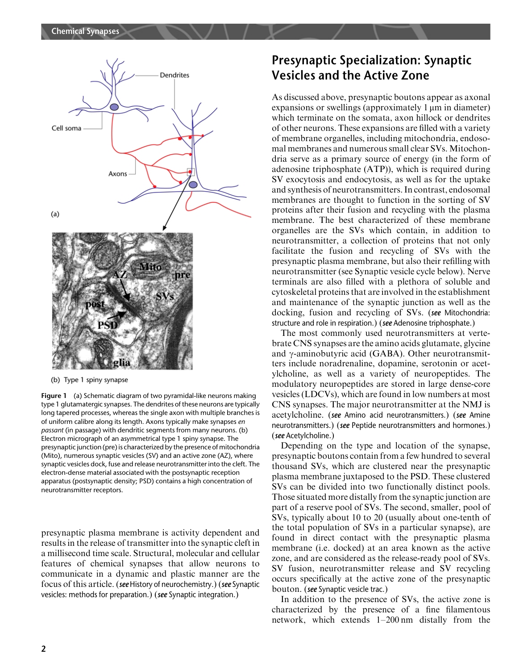

(b) Type 1 spiny synapse

Figure 1 (a) Schematic diagram of two pyramidal-like neurons making type 1 glutamatergic synapses. The dendrites of these neurons are typically long tapered processes, whereas the single axon with multiple branches is of uniform calibre along its length. Axons typically make synapses en passant (in passage) with dendritic segments from many neurons. (b) Electron micrograph of an asymmetrical type 1 spiny synapse. The presynaptic junction (pre) is characterized by the presence of mitochondria (Mito), numerous synaptic vesicles (SV) and an active zone (AZ), where synaptic vesicles dock, fuse and release neurotransmitter into the cleft. The electron-dense material associated with the postsynaptic reception apparatus (postsynaptic density; PSD) contains a high concentration of neurotransmitter receptors.

presynaptic plasma membrane is activity dependent and results in the release of transmitter into the synaptic cleft in a millisecond time scale. Structural, molecular and cellular features of chemical synapses that allow neurons to communicate in a dynamic and plastic manner are the focus of this article. (see History of neurochemistry.) (see Synaptic vesicles: methods for preparation.) (see Synaptic integration.)

# Presynaptic Specialization: Synaptic Vesicles and the Active Zone

As discussed above, presynaptic boutons appear as axonal expansions or swellings (approximately  $1 \mu m$  in diameter) which terminate on the somata, axon hillock or dendrites of other neurons. These expansions are filled with a variety of membrane organelles, including mitochondria, endosomal membranes and numerous small clear SVs. Mitochondria serve as a primary source of energy (in the form of adenosine triphosphate (ATP)), which is required during SV exocytosis and endocytosis, as well as for the uptake and synthesis of neurotransmitters. In contrast, endosomal membranes are thought to function in the sorting of SV proteins after their fusion and recycling with the plasma membrane. The best characterized of these membrane organelles are the SVs which contain, in addition to neurotransmitter, a collection of proteins that not only facilitate the fusion and recycling of SVs with the presynaptic plasma membrane, but also their refilling with neurotransmitter (see Synaptic vesicle cycle below). Nerve terminals are also filled with a plethora of soluble and cytoskeletal proteins that are involved in the establishment and maintenance of the synaptic junction as well as the docking, fusion and recycling of SVs. (see Mitochondria: structure and role in respiration.) (see Adenosine triphosphate.)

The most commonly used neurotransmitters at vertebrate CNS synapses are the amino acids glutamate, glycine and  $\gamma$ -aminobutyric acid (GABA). Other neurotransmitters include noradrenaline, dopamine, serotonin or acetylcholine, as well as a variety of neuropeptides. The modulatory neuropeptides are stored in large dense-core vesicles (LDCVs), which are found in low numbers at most CNS synapses. The major neurotransmitter at the NMJ is acetylcholine. (see Amino acid neurotransmitters.) (see Amine neurotransmitters.) (see Peptide neurotransmitters and hormones.) (see Acetylcholine.)

Depending on the type and location of the synapse, presynaptic boutons contain from a few hundred to several thousand SVs, which are clustered near the presynaptic plasma membrane juxtaposed to the PSD. These clustered SVs can be divided into two functionally distinct pools. Those situated more distally from the synaptic junction are part of a reserve pool of SVs. The second, smaller, pool of SVs, typically about 10 to 20 (usually about one-tenth of the total population of SVs in a particular synapse), are found in direct contact with the presynaptic plasma membrane (i.e. docked) at an area known as the active zone, and are considered as the release-ready pool of SVs. SV fusion, neurotransmitter release and SV recycling occurs specifically at the active zone of the presynaptic bouton. (see Synaptic vesicle trac.)

In addition to the presence of SVs, the active zone is characterized by the presence of a fine filamentous network, which extends 1–200 nm distally from the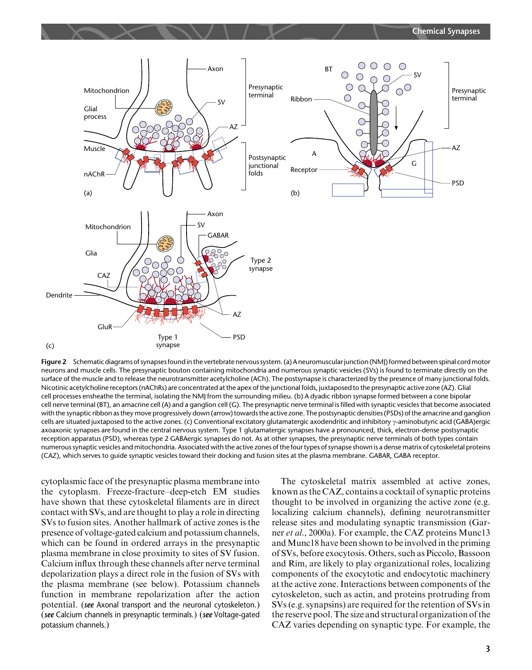

Figure 2 Schematic diagrams of synapses found in the vertebrate nervous system. (a) A neuromuscular junction (NMJ) formed between spinal cord motor neurons and muscle cells. The presynaptic bouton containing mitochondria and numerous synaptic vesicles (SVs) is found to terminate directly on the surface of the muscle and to release the neurotransmitter acetylcholine (ACh). The postsynapse is characterized by the presence of many junctional folds. Nicotinic acetylcholine receptors (nAChRs) are concentrated at the apex of the junctional folds, juxtaposed to the presynaptic active zone (AZ). Glial cell processes ensheathe the terminal, isolating the NMJ from the surrounding milieu. (b) A dyadic ribbon synapse formed between a cone bipolar cell nerve terminal (BT), an amacrine cell (A) and a ganglion cell (G). The presynaptic nerve terminal is filled with synaptic vesicles that become associated with the synaptic ribbon as they move progressively down (arrow) towards the active zone. The postsynaptic densities (PSDs) of the amacrine and ganglion cells are situated juxtaposed to the active zones. (c) Conventional excitatory glutamatergic axodendritic and inhibitory y-aminobutyric acid (GABA)ergic axoaxonic synapses are found in the central nervous system. Type 1 glutamatergic synapses have a pronounced, thick, electron-dense postsynaptic reception apparatus (PSD), whereas type 2 GABAergic synapses do not. As at other synapses, the presynaptic nerve terminals of both types contain numerous synaptic vesicles and mitochondria. Associated with the active zones of the four types of synapse shown is a dense matrix of cytoskeletal proteins (CAZ), which serves to guide synaptic vesicles toward their docking and fusion sites at the plasma membrane. GABAR, GABA receptor.

cytoplasmic face of the presynaptic plasma membrane into the cytoplasm. Freeze-fracture–deep-etch EM studies have shown that these cytoskeletal filaments are in direct contact with SVs, and are thought to play a role in directing SVs to fusion sites. Another hallmark of active zones is the presence of voltage-gated calcium and potassium channels, which can be found in ordered arrays in the presynaptic plasma membrane in close proximity to sites of SV fusion. Calcium influx through these channels after nerve terminal depolarization plays a direct role in the fusion of SVs with the plasma membrane (see below). Potassium channels function in membrane repolarization after the action potential. (see Axonal transport and the neuronal cytoskeleton.) (see Calcium channels in presynaptic terminals.) (see Voltage-gated potassium channels.)

(c)

The cytoskeletal matrix assembled at active zones, known as the CAZ, contains a cocktail of synaptic proteins thought to be involved in organizing the active zone (e.g. localizing calcium channels), defining neurotransmitter release sites and modulating synaptic transmission (Garner et al., 2000a). For example, the CAZ proteins Munc13 and Munc18 have been shown to be involved in the priming of SVs, before exocytosis. Others, such as Piccolo, Bassoon and Rim, are likely to play organizational roles, localizing components of the exocytotic and endocytotic machinery at the active zone. Interactions between components of the cytoskeleton, such as actin, and proteins protruding from SVs (e.g. synapsins) are required for the retention of SVs in the reserve pool. The size and structural organization of the CAZ varies depending on synaptic type. For example, the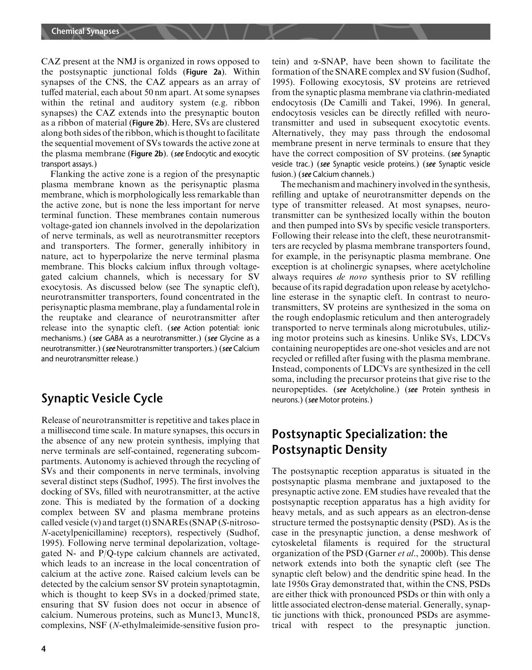CAZ present at the NMJ is organized in rows opposed to the postsynaptic junctional folds (Figure 2a). Within synapses of the CNS, the CAZ appears as an array of tuffed material, each about 50 nm apart. At some synapses within the retinal and auditory system (e.g. ribbon synapses) the CAZ extends into the presynaptic bouton as a ribbon of material (Figure 2b). Here, SVs are clustered along both sides of the ribbon, which is thought to facilitate the sequential movement of SVs towards the active zone at the plasma membrane (Figure 2b). (see Endocytic and exocytic transport assays.)

Flanking the active zone is a region of the presynaptic plasma membrane known as the perisynaptic plasma membrane, which is morphologically less remarkable than the active zone, but is none the less important for nerve terminal function. These membranes contain numerous voltage-gated ion channels involved in the depolarization of nerve terminals, as well as neurotransmitter receptors and transporters. The former, generally inhibitory in nature, act to hyperpolarize the nerve terminal plasma membrane. This blocks calcium influx through voltagegated calcium channels, which is necessary for SV exocytosis. As discussed below (see The synaptic cleft), neurotransmitter transporters, found concentrated in the perisynaptic plasma membrane, play a fundamental role in the reuptake and clearance of neurotransmitter after release into the synaptic cleft. (see Action potential: ionic mechanisms.) (see GABA as a neurotransmitter.) (see Glycine as a neurotransmitter.) (see Neurotransmitter transporters.) (see Calcium and neurotransmitter release.)

#### Synaptic Vesicle Cycle

Release of neurotransmitter is repetitive and takes place in a millisecond time scale. In mature synapses, this occurs in the absence of any new protein synthesis, implying that nerve terminals are self-contained, regenerating subcompartments. Autonomy is achieved through the recycling of SVs and their components in nerve terminals, involving several distinct steps (Sudhof, 1995). The first involves the docking of SVs, filled with neurotransmitter, at the active zone. This is mediated by the formation of a docking complex between SV and plasma membrane proteins called vesicle (v) and target (t) SNAREs (SNAP (S-nitroso-N-acetylpenicillamine) receptors), respectively (Sudhof, 1995). Following nerve terminal depolarization, voltagegated N- and  $P/Q$ -type calcium channels are activated, which leads to an increase in the local concentration of calcium at the active zone. Raised calcium levels can be detected by the calcium sensor SV protein synaptotagmin, which is thought to keep SVs in a docked/primed state, ensuring that SV fusion does not occur in absence of calcium. Numerous proteins, such as Munc13, Munc18, complexins, NSF (N-ethylmaleimide-sensitive fusion pro-

tein) and  $\alpha$ -SNAP, have been shown to facilitate the formation of the SNARE complex and SV fusion (Sudhof, 1995). Following exocytosis, SV proteins are retrieved from the synaptic plasma membrane via clathrin-mediated endocytosis (De Camilli and Takei, 1996). In general, endocytosis vesicles can be directly refilled with neurotransmitter and used in subsequent exocytotic events. Alternatively, they may pass through the endosomal membrane present in nerve terminals to ensure that they have the correct composition of SV proteins. (see Synaptic vesicle trac.) (see Synaptic vesicle proteins.) (see Synaptic vesicle fusion.) (see Calcium channels.)

The mechanism and machinery involved in the synthesis, refilling and uptake of neurotransmitter depends on the type of transmitter released. At most synapses, neurotransmitter can be synthesized locally within the bouton and then pumped into SVs by specific vesicle transporters. Following their release into the cleft, these neurotransmitters are recycled by plasma membrane transporters found, for example, in the perisynaptic plasma membrane. One exception is at cholinergic synapses, where acetylcholine always requires de novo synthesis prior to SV refilling because of its rapid degradation upon release by acetylcholine esterase in the synaptic cleft. In contrast to neurotransmitters, SV proteins are synthesized in the soma on the rough endoplasmic reticulum and then anterogradely transported to nerve terminals along microtubules, utilizing motor proteins such as kinesins. Unlike SVs, LDCVs containing neuropeptides are one-shot vesicles and are not recycled or refilled after fusing with the plasma membrane. Instead, components of LDCVs are synthesized in the cell soma, including the precursor proteins that give rise to the neuropeptides. (see Acetylcholine.) (see Protein synthesis in neurons.) (see Motor proteins.)

# Postsynaptic Specialization: the Postsynaptic Density

The postsynaptic reception apparatus is situated in the postsynaptic plasma membrane and juxtaposed to the presynaptic active zone. EM studies have revealed that the postsynaptic reception apparatus has a high avidity for heavy metals, and as such appears as an electron-dense structure termed the postsynaptic density (PSD). As is the case in the presynaptic junction, a dense meshwork of cytoskeletal filaments is required for the structural organization of the PSD (Garner et al., 2000b). This dense network extends into both the synaptic cleft (see The synaptic cleft below) and the dendritic spine head. In the late 1950s Gray demonstrated that, within the CNS, PSDs are either thick with pronounced PSDs or thin with only a little associated electron-dense material. Generally, synaptic junctions with thick, pronounced PSDs are asymmetrical with respect to the presynaptic junction.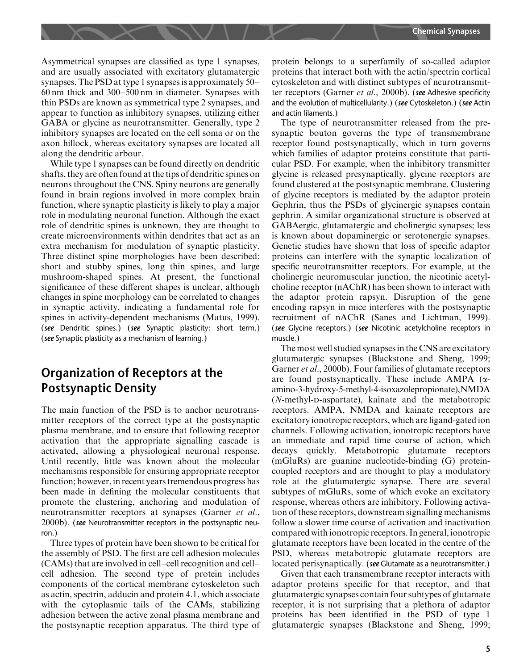Asymmetrical synapses are classified as type 1 synapses, and are usually associated with excitatory glutamatergic synapses. The PSD at type 1 synapses is approximately 50– 60 nm thick and 300–500 nm in diameter. Synapses with thin PSDs are known as symmetrical type 2 synapses, and appear to function as inhibitory synapses, utilizing either GABA or glycine as neurotransmitter. Generally, type 2 inhibitory synapses are located on the cell soma or on the axon hillock, whereas excitatory synapses are located all along the dendritic arbour.

While type 1 synapses can be found directly on dendritic shafts, they are often found at the tips of dendritic spines on neurons throughout the CNS. Spiny neurons are generally found in brain regions involved in more complex brain function, where synaptic plasticity is likely to play a major role in modulating neuronal function. Although the exact role of dendritic spines is unknown, they are thought to create microenvironments within dendrites that act as an extra mechanism for modulation of synaptic plasticity. Three distinct spine morphologies have been described: short and stubby spines, long thin spines, and large mushroom-shaped spines. At present, the functional significance of these different shapes is unclear, although changes in spine morphology can be correlated to changes in synaptic activity, indicating a fundamental role for spines in activity-dependent mechanisms (Matus, 1999). (see Dendritic spines.) (see Synaptic plasticity: short term.) (see Synaptic plasticity as a mechanism of learning.)

### Organization of Receptors at the Postsynaptic Density

The main function of the PSD is to anchor neurotransmitter receptors of the correct type at the postsynaptic plasma membrane, and to ensure that following receptor activation that the appropriate signalling cascade is activated, allowing a physiological neuronal response. Until recently, little was known about the molecular mechanisms responsible for ensuring appropriate receptor function; however, in recent years tremendous progress has been made in defining the molecular constituents that promote the clustering, anchoring and modulation of neurotransmitter receptors at synapses (Garner et al., 2000b). (see Neurotransmitter receptors in the postsynaptic neuron.)

Three types of protein have been shown to be critical for the assembly of PSD. The first are cell adhesion molecules (CAMs) that are involved in cell–cell recognition and cell– cell adhesion. The second type of protein includes components of the cortical membrane cytoskeleton such as actin, spectrin, adducin and protein 4.1, which associate with the cytoplasmic tails of the CAMs, stabilizing adhesion between the active zonal plasma membrane and the postsynaptic reception apparatus. The third type of

protein belongs to a superfamily of so-called adaptor proteins that interact both with the actin/spectrin cortical cytoskeleton and with distinct subtypes of neurotransmitter receptors (Garner et al., 2000b). (see Adhesive specificity and the evolution of multicellularity.) (see Cytoskeleton.) (see Actin and actin filaments.)

The type of neurotransmitter released from the presynaptic bouton governs the type of transmembrane receptor found postsynaptically, which in turn governs which families of adaptor proteins constitute that particular PSD. For example, when the inhibitory transmitter glycine is released presynaptically, glycine receptors are found clustered at the postsynaptic membrane. Clustering of glycine receptors is mediated by the adaptor protein Gephrin, thus the PSDs of glycinergic synapses contain gephrin. A similar organizational structure is observed at GABAergic, glutamatergic and cholinergic synapses; less is known about dopaminergic or serotonergic synapses. Genetic studies have shown that loss of specific adaptor proteins can interfere with the synaptic localization of specific neurotransmitter receptors. For example, at the cholinergic neuromuscular junction, the nicotinic acetylcholine receptor (nAChR) has been shown to interact with the adaptor protein rapsyn. Disruption of the gene encoding rapsyn in mice interferes with the postsynaptic recruitment of nAChR (Sanes and Lichtman, 1999). (see Glycine receptors.) (see Nicotinic acetylcholine receptors in muscle.)

The most well studied synapses in the CNS are excitatory glutamatergic synapses (Blackstone and Sheng, 1999; Garner et al., 2000b). Four families of glutamate receptors are found postsynaptically. These include AMPA  $(\alpha$ amino-3-hydroxy-5-methyl-4-isoxazolepropionate),NMDA  $(N$ -methyl- $D$ -aspartate), kainate and the metabotropic receptors. AMPA, NMDA and kainate receptors are excitatory ionotropic receptors, which are ligand-gated ion channels. Following activation, ionotropic receptors have an immediate and rapid time course of action, which decays quickly. Metabotropic glutamate receptors (mGluRs) are guanine nucleotide-binding (G) proteincoupled receptors and are thought to play a modulatory role at the glutamatergic synapse. There are several subtypes of mGluRs, some of which evoke an excitatory response, whereas others are inhibitory. Following activation of these receptors, downstream signalling mechanisms follow a slower time course of activation and inactivation compared with ionotropic receptors. In general, ionotropic glutamate receptors have been located in the centre of the PSD, whereas metabotropic glutamate receptors are located perisynaptically. (see Glutamate as a neurotransmitter.)

Given that each transmembrane receptor interacts with adaptor proteins specific for that receptor, and that glutamatergic synapses contain four subtypes of glutamate receptor, it is not surprising that a plethora of adaptor proteins has been identified in the PSD of type 1 glutamatergic synapses (Blackstone and Sheng, 1999;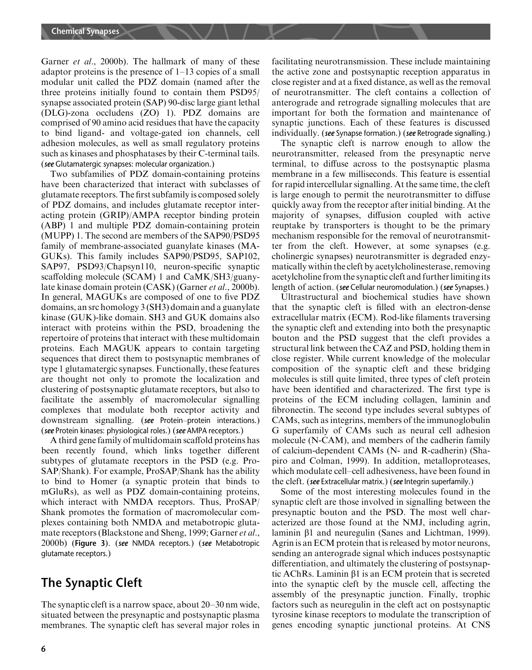Garner et al., 2000b). The hallmark of many of these adaptor proteins is the presence of 1–13 copies of a small modular unit called the PDZ domain (named after the three proteins initially found to contain them PSD95/ synapse associated protein (SAP) 90-disc large giant lethal (DLG)-zona occludens (ZO) 1). PDZ domains are comprised of 90 amino acid residues that have the capacity to bind ligand- and voltage-gated ion channels, cell adhesion molecules, as well as small regulatory proteins such as kinases and phosphatases by their C-terminal tails. (see Glutamatergic synapses: molecular organization.)

Two subfamilies of PDZ domain-containing proteins have been characterized that interact with subclasses of glutamate receptors. The first subfamily is composed solely of PDZ domains, and includes glutamate receptor interacting protein (GRIP)/AMPA receptor binding protein (ABP) 1 and multiple PDZ domain-containing protein (MUPP) 1. The second are members of the SAP90/PSD95 family of membrane-associated guanylate kinases (MA-GUKs). This family includes SAP90/PSD95, SAP102, SAP97, PSD93/Chapsyn110, neuron-specific synaptic scaffolding molecule (SCAM) 1 and CaMK/SH3/guanylate kinase domain protein (CASK) (Garner et al., 2000b). In general, MAGUKs are composed of one to five PDZ domains, an src homology 3 (SH3) domain and a guanylate kinase (GUK)-like domain. SH3 and GUK domains also interact with proteins within the PSD, broadening the repertoire of proteins that interact with these multidomain proteins. Each MAGUK appears to contain targeting sequences that direct them to postsynaptic membranes of type 1 glutamatergic synapses. Functionally, these features are thought not only to promote the localization and clustering of postsynaptic glutamate receptors, but also to facilitate the assembly of macromolecular signalling complexes that modulate both receptor activity and downstream signalling. (see Protein–protein interactions.) (see Protein kinases: physiological roles.) (see AMPA receptors.)

A third gene family of multidomain scaffold proteins has been recently found, which links together different subtypes of glutamate receptors in the PSD (e.g. Pro-SAP/Shank). For example, ProSAP/Shank has the ability to bind to Homer (a synaptic protein that binds to mGluRs), as well as PDZ domain-containing proteins, which interact with NMDA receptors. Thus, ProSAP/ Shank promotes the formation of macromolecular complexes containing both NMDA and metabotropic glutamate receptors (Blackstone and Sheng, 1999; Garner et al., 2000b) (Figure 3). (see NMDA receptors.) (see Metabotropic glutamate receptors.)

# The Synaptic Cleft

The synaptic cleft is a narrow space, about 20–30 nm wide, situated between the presynaptic and postsynaptic plasma membranes. The synaptic cleft has several major roles in

facilitating neurotransmission. These include maintaining the active zone and postsynaptic reception apparatus in close register and at a fixed distance, as well as the removal of neurotransmitter. The cleft contains a collection of anterograde and retrograde signalling molecules that are important for both the formation and maintenance of synaptic junctions. Each of these features is discussed individually. (see Synapse formation.) (see Retrograde signalling.)

The synaptic cleft is narrow enough to allow the neurotransmitter, released from the presynaptic nerve terminal, to diffuse across to the postsynaptic plasma membrane in a few milliseconds. This feature is essential for rapid intercellular signalling. At the same time, the cleft is large enough to permit the neurotransmitter to diffuse quickly away from the receptor after initial binding. At the majority of synapses, diffusion coupled with active reuptake by transporters is thought to be the primary mechanism responsible for the removal of neurotransmitter from the cleft. However, at some synapses (e.g. cholinergic synapses) neurotransmitter is degraded enzymatically within the cleft by acetylcholinesterase, removing acetylcholine from the synaptic cleft and further limiting its length of action. (see Cellular neuromodulation.) (see Synapses.)

Ultrastructural and biochemical studies have shown that the synaptic cleft is filled with an electron-dense extracellular matrix (ECM). Rod-like filaments traversing the synaptic cleft and extending into both the presynaptic bouton and the PSD suggest that the cleft provides a structural link between the CAZ and PSD, holding them in close register. While current knowledge of the molecular composition of the synaptic cleft and these bridging molecules is still quite limited, three types of cleft protein have been identified and characterized. The first type is proteins of the ECM including collagen, laminin and fibronectin. The second type includes several subtypes of CAMs, such as integrins, members of the immunoglobulin G superfamily of CAMs such as neural cell adhesion molecule (N-CAM), and members of the cadherin family of calcium-dependent CAMs (N- and R-cadherin) (Shapiro and Colman, 1999). In addition, metalloproteases, which modulate cell–cell adhesiveness, have been found in the cleft. (see Extracellular matrix.) (see Integrin superfamily.)

Some of the most interesting molecules found in the synaptic cleft are those involved in signalling between the presynaptic bouton and the PSD. The most well characterized are those found at the NMJ, including agrin, laminin b1 and neuregulin (Sanes and Lichtman, 1999). Agrin is an ECM protein that is released by motor neurons, sending an anterograde signal which induces postsynaptic differentiation, and ultimately the clustering of postsynaptic AChRs. Laminin  $\beta$ 1 is an ECM protein that is secreted into the synaptic cleft by the muscle cell, affecting the assembly of the presynaptic junction. Finally, trophic factors such as neuregulin in the cleft act on postsynaptic tyrosine kinase receptors to modulate the transcription of genes encoding synaptic junctional proteins. At CNS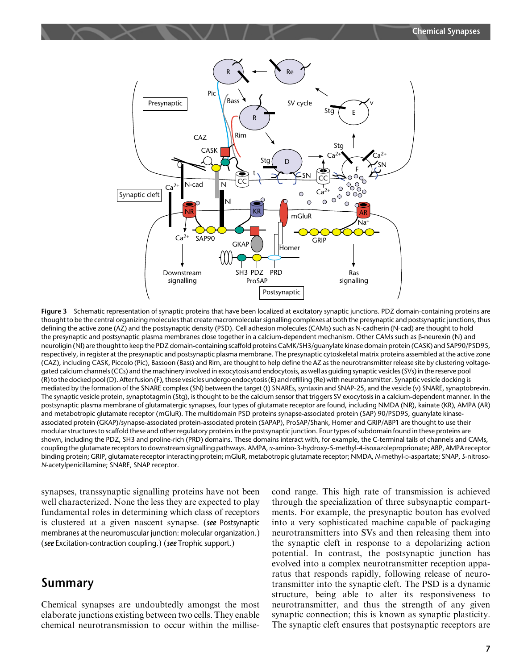

Figure 3 Schematic representation of synaptic proteins that have been localized at excitatory synaptic junctions. PDZ domain-containing proteins are thought to be the central organizing molecules that create macromolecular signalling complexes at both the presynaptic and postsynaptic junctions, thus defining the active zone (AZ) and the postsynaptic density (PSD). Cell adhesion molecules (CAMs) such as N-cadherin (N-cad) are thought to hold the presynaptic and postsynaptic plasma membranes close together in a calcium-dependent mechanism. Other CAMs such as B-neurexin (N) and neuroligin (Nl) are thought to keep the PDZ domain-containing scaffold proteins CaMK/SH3/guanylate kinase domain protein (CASK) and SAP90/PSD95, respectively, in register at the presynaptic and postsynaptic plasma membrane. The presynaptic cytoskeletal matrix proteins assembled at the active zone (CAZ), including CASK, Piccolo (Pic), Bassoon (Bass) and Rim, are thought to help define the AZ as the neurotransmitter release site by clustering voltagegated calcium channels (CCs) and the machinery involved in exocytosis and endocytosis, as well as guiding synaptic vesicles (SVs) in the reserve pool (R) to the docked pool (D). After fusion (F), these vesiclesundergo endocytosis (E) and refilling (Re) with neurotransmitter. Synapticvesicle docking is mediated by the formation of the SNARE complex (SN) between the target (t) SNAREs, syntaxin and SNAP-25, and the vesicle (v) SNARE, synaptobrevin. The synaptic vesicle protein, synaptotagmin (Stg), is thought to be the calcium sensor that triggers SV exocytosis in a calcium-dependent manner. In the postsynaptic plasma membrane of glutamatergic synapses, four types of glutamate receptor are found, including NMDA (NR), kainate (KR), AMPA (AR) and metabotropic glutamate receptor (mGluR). The multidomain PSD proteins synapse-associated protein (SAP) 90/PSD95, guanylate kinaseassociated protein (GKAP)/synapse-associated protein-associated protein (SAPAP), ProSAP/Shank, Homer and GRIP/ABP1 are thought to use their modular structures to scaffold these and other regulatory proteins in the postsynaptic junction. Four types of subdomain found in these proteins are shown, including the PDZ, SH3 and proline-rich (PRD) domains. These domains interact with, for example, the C-terminal tails of channels and CAMs, coupling the glutamate receptors to downstream signalling pathways. AMPA, a-amino-3-hydroxy-5-methyl-4-isoxazoleproprionate; ABP, AMPA receptor binding protein; GRIP, glutamate receptor interacting protein; mGluR, metabotropic glutamate receptor; NMDA, N-methyl-D-aspartate; SNAP, S-nitroso-N-acetylpenicillamine; SNARE, SNAP receptor.

synapses, transsynaptic signalling proteins have not been well characterized. None the less they are expected to play fundamental roles in determining which class of receptors is clustered at a given nascent synapse. (see Postsynaptic membranes at the neuromuscular junction: molecular organization.) (see Excitation-contraction coupling.) (see Trophic support.)

#### Summary

Chemical synapses are undoubtedly amongst the most elaborate junctions existing between two cells. They enable chemical neurotransmission to occur within the millisecond range. This high rate of transmission is achieved through the specialization of three subsynaptic compartments. For example, the presynaptic bouton has evolved into a very sophisticated machine capable of packaging neurotransmitters into SVs and then releasing them into the synaptic cleft in response to a depolarizing action potential. In contrast, the postsynaptic junction has evolved into a complex neurotransmitter reception apparatus that responds rapidly, following release of neurotransmitter into the synaptic cleft. The PSD is a dynamic structure, being able to alter its responsiveness to neurotransmitter, and thus the strength of any given synaptic connection; this is known as synaptic plasticity. The synaptic cleft ensures that postsynaptic receptors are